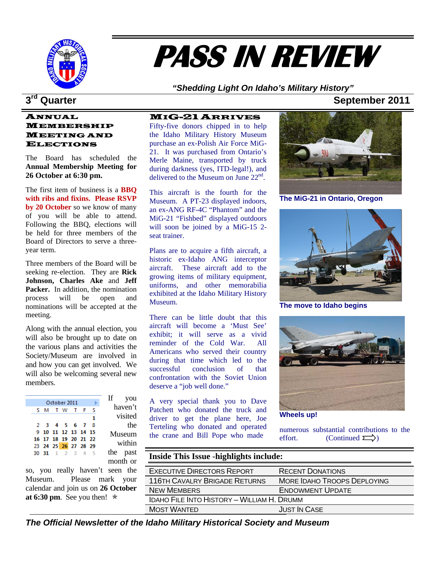

# **PASS IN REVIEW**

*"Shedding Light On Idaho's Military History"* 

### **1 a 3<sup>rd</sup> Quarter September 2011**

#### ANNUAL MEMBERSHIP MEETING AND ELECTIONS

**Annual Membership Meeting for** The Board has scheduled the **26 October at 6:30 pm.** 

Board of Directors to serve a three-The first item of business is a **BBQ with ribs and fixins. Please RSVP by 20 October** so we know of many of you will be able to attend. Following the BBQ, elections will be held for three members of the year term.

nominations will be accepted at the Three members of the Board will be seeking re-election. They are **Rick Johnson, Charles Ake** and **Jeff Packer.** In addition, the nomination process will be open and meeting.

will also be welcoming several new members. Along with the annual election, you will also be brought up to date on the various plans and activities the Society/Museum are involved in and how you can get involved. We

| Ιf<br>you |              |                      |  |  |  |  |  |  |
|-----------|--------------|----------------------|--|--|--|--|--|--|
|           | October 2011 |                      |  |  |  |  |  |  |
| haven't   |              | SM TW TFS            |  |  |  |  |  |  |
| visited   |              |                      |  |  |  |  |  |  |
| the       |              | 2 3 4 5 6 7 8        |  |  |  |  |  |  |
| Museum    |              | 9 10 11 12 13 14 15  |  |  |  |  |  |  |
|           |              | 16 17 18 19 20 21 22 |  |  |  |  |  |  |
| within    |              | 23 24 25 26 27 28 29 |  |  |  |  |  |  |
| the past  |              | 30 31 1 2 3 4 5      |  |  |  |  |  |  |
| month or  |              |                      |  |  |  |  |  |  |

calendar and join us on **26 October at 6:30 pm**. See you then!  $*$ so, you really haven't seen the Museum. Please mark you

delivered to the Museum on June  $22<sup>nd</sup>$ . MIG-21ARRIVES Fifty-five donors chipped in to help the Idaho Military History Museum purchase an ex-Polish Air Force MiG-21. It was purchased from Ontario's Merle Maine, transported by truck during darkness (yes, ITD-legal!), and

will soon be joined by a MiG-15 2-This aircraft is the fourth for the Museum. A PT-23 displayed indoors, an ex-ANG RF-4C "Phantom" and the MiG-21 "Fishbed" displayed outdoors seat trainer.

exhibited at the Idaho Military History Plans are to acquire a fifth aircraft, a historic ex-Idaho ANG interceptor aircraft. These aircraft add to the growing items of military equipment, uniforms, and other memorabilia Museum.

confrontation with the Soviet Union There can be little doubt that this aircraft will become a 'Must See' exhibit; it will serve as a vivid reminder of the Cold War. All Americans who served their country during that time which led to the successful conclusion of that deserve a "job well done."

the crane and Bill Pope who made A very special thank you to Dave Patchett who donated the truck and driver to get the plane here, Joe Terteling who donated and operated

**The MiG-21 in Ontario, Oregon** 



**The move to Idaho begins** 



**Wheels up!** 

numerous substantial contributions to the effort. (Continued  $\sum$ )

| ıst<br><b>Inside This Issue -highlights include:</b><br><b>or</b> |                                                   |                             |  |  |  |  |  |
|-------------------------------------------------------------------|---------------------------------------------------|-----------------------------|--|--|--|--|--|
| he                                                                | <b>EXECUTIVE DIRECTORS REPORT</b>                 | <b>RECENT DONATIONS</b>     |  |  |  |  |  |
| ur                                                                | <b>116TH CAVALRY BRIGADE RETURNS</b>              | MORE IDAHO TROOPS DEPLOYING |  |  |  |  |  |
| er                                                                | <b>NEW MEMBERS</b>                                | <b>ENDOWMENT UPDATE</b>     |  |  |  |  |  |
|                                                                   | <b>IDAHO FILE INTO HISTORY - WILLIAM H. DRUMM</b> |                             |  |  |  |  |  |
|                                                                   | <b>MOST WANTED</b>                                | <b>JUST IN CASE</b>         |  |  |  |  |  |
|                                                                   |                                                   |                             |  |  |  |  |  |

*The Official Newsletter of the Idaho Military Historical Society and Museum*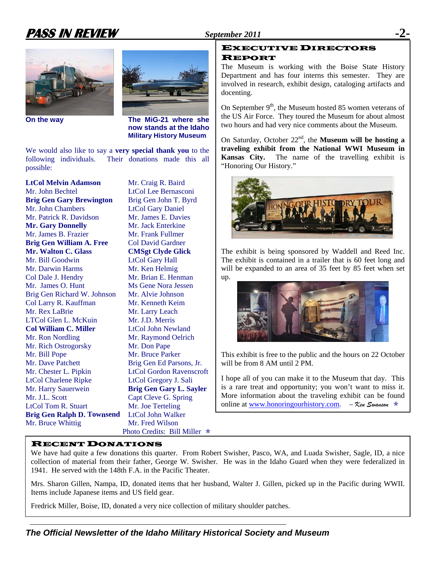# **PASS IN REVIEW September 2011**





 **On the way The MiG-21 where she now stands at the Idaho Military History Museum** 

We would also like to say a **very special thank you** to the following individuals. Their donations made this all possible:

**LtCol Melvin Adamson** Mr. Patrick R. Davidson Mr. James E. Davies **Brig Gen William A. Free** Col David Gardner Brig Gen Richard W. Johnson Mr. Alvie Johnson Col Larry R. Kauffman Mr. Kenneth Keim **Col William C. Miller** LtCol John Newland Mr. Rich Ostrogorsky Mr. Don Pape Mr. Chester L. Pipkin LtCol Gordon Ravenscroft Mr. Harry Sauerwein **Brig Gen Gary L. Sayler** Mr. J.L. Scott Capt Cleve G. Spring Brig Gen Ralph D. Townsend LtCol John Walker Mr. Bruce Whittig Photo Credits: Bill Miller  $*$ Mr. John Bechtel LtCol Lee Bernasconi **Brig Gen Gary Brewington** Mr. John Chambers LtCol Gary Daniel **Mr. Gary Donnelly** Mr. Jack Enterkine Mr. James B. Frazier Mr. Frank Fullmer **Mr. Walton C. Glass** Mr. Bill Goodwin LtCol Gary Hall Mr. Darwin Harms Mr. Ken Helmig Col Dale J. Hendry Mr. Brian E. Henman Mr. James O. Hunt Mr. Rex LaBrie Mr. Larry Leach LTCol Glen L. McKuin Mr. J.D. Merris Mr. Ron Nordling Mr. Bill Pope Mr. Bruce Parker Mr. Dave Patchett Brig Gen Ed Parsons, Jr. LtCol Charlene Ripke LtCol Gregory J. Sali LtCol Tom R. Stuart Mr. Joe Terteling

**Brig Gen John T. Byrd CMSgt Clyde Glick** Ms Gene Nora Jessen Mr. Raymond Oelrich **Mr. Craig R. Baird** Mr. Fred Wilson

### EXECUTIVE DIRECTORS REPORT

The Museum is working with the Boise State History Department and has four interns this semester. They are involved in research, exhibit design, cataloging artifacts and docenting.

On September  $9<sup>th</sup>$ , the Museum hosted 85 women veterans of the US Air Force. They toured the Museum for about almost two hours and had very nice comments about the Museum.

On Saturday, October 22<sup>nd</sup>, the **Museum will be hosting a traveling exhibit from the National WWI Museum in Kansas City.** The name of the travelling exhibit is "Honoring Our History."



The exhibit is being sponsored by Waddell and Reed Inc. The exhibit is contained in a trailer that is 60 feet long and will be expanded to an area of 35 feet by 85 feet when set up.



This exhibit is free to the public and the hours on 22 October will be from 8 AM until 2 PM.

I hope all of you can make it to the Museum that day. This is a rare treat and opportunity; you won't want to miss it. More information about the traveling exhibit can be found online at [www.honoringourhistory.com.](http://www.honoringourhistory.com/) – *Ken Swanson* Õ

### RECENT DONATIONS

We have had quite a few donations this quarter. From Robert Swisher, Pasco, WA, and Luada Swisher, Sagle, ID, a nice collection of material from their father, George W. Swisher. He was in the Idaho Guard when they were federalized in 1941. He served with the 148th F.A. in the Pacific Theater.

Mrs. Sharon Gillen, Nampa, ID, donated items that her husband, Walter J. Gillen, picked up in the Pacific during WWII. Items include Japanese items and US field gear.

Fredrick Miller, Boise, ID, donated a very nice collection of military shoulder patches.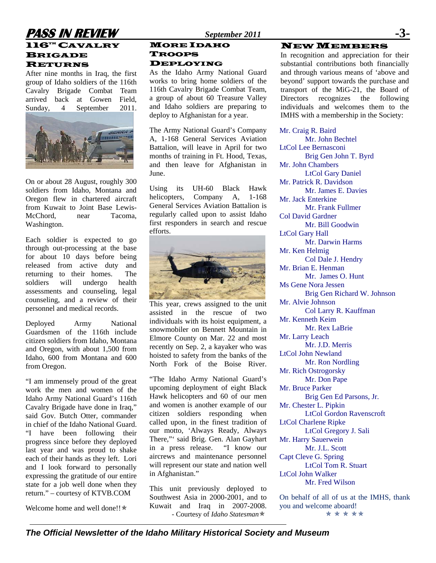### **PASS IN REVIEW** *September 2011* **-3-**   $116^{\text{th}}$  CAVALRY **BRIGADE** RETURNS

After nine months in Iraq, the first group of Idaho soldiers of the 116th Cavalry Brigade Combat Team arrived back at Gowen Field, Sunday, 4 September 2011.



On or about 28 August, roughly 300 soldiers from Idaho, Montana and Oregon flew in chartered aircraft from Kuwait to Joint Base Lewis-McChord, near Tacoma, Washington.

Each soldier is expected to go through out-processing at the base for about 10 days before being released from active duty and returning to their homes. The soldiers will undergo health assessments and counseling, legal counseling, and a review of their personnel and medical records.

Deployed Army National Guardsmen of the 116th include citizen soldiers from Idaho, Montana and Oregon, with about 1,500 from Idaho, 600 from Montana and 600 from Oregon.

"I am immensely proud of the great work the men and women of the Idaho Army National Guard's 116th Cavalry Brigade have done in Iraq," said Gov*.* Butch Otter, commander in chief of the Idaho National Guard. "I have been following their progress since before they deployed last year and was proud to shake each of their hands as they left. Lori and I look forward to personally expressing the gratitude of our entire state for a job well done when they return." – courtesy of KTVB.COM

Welcome home and well done!!\*

### MORE IDAHO TROOPS

DEPLOYING

As the Idaho Army National Guard works to bring home soldiers of the 116th Cavalry Brigade Combat Team, a group of about 60 Treasure Valley and Idaho soldiers are preparing to deploy to Afghanistan for a year.

The Army National Guard's Company A, 1-168 General Services Aviation Battalion, will leave in April for two months of training in Ft. Hood, Texas, and then leave for Afghanistan in June.

Using its UH-60 Black Hawk helicopters, Company A, 1-168 General Services Aviation Battalion is regularly called upon to assist Idaho first responders in search and rescue efforts.



This year, crews assigned to the unit assisted in the rescue of two individuals with its hoist equipment, a snowmobiler on Bennett Mountain in Elmore County on Mar. 22 and most recently on Sep. 2, a kayaker who was hoisted to safety from the banks of the North Fork of the Boise River.

"The Idaho Army National Guard's upcoming deployment of eight Black Hawk helicopters and 60 of our men and women is another example of our citizen soldiers responding when called upon, in the finest tradition of our motto, 'Always Ready, Always There,"' said Brig. Gen. Alan Gayhart in a press release. "I know our aircrews and maintenance personnel will represent our state and nation well in Afghanistan."

This unit previously deployed to Southwest Asia in 2000-2001, and to Kuwait and Iraq in 2007-2008. - Courtesy of *Idaho Statesman* $*$ 

#### NEW MEMBERS

In recognition and appreciation for their substantial contributions both financially and through various means of 'above and beyond' support towards the purchase and transport of the MiG-21, the Board of Directors recognizes the following individuals and welcomes them to the IMHS with a membership in the Society:

Mr. Craig R. Baird Mr. John Bechtel LtCol Lee Bernasconi Brig Gen John T. Byrd Mr. John Chambers LtCol Gary Daniel Mr. Patrick R. Davidson Mr. James E. Davies Mr. Jack Enterkine Mr. Frank Fullmer Col David Gardner Mr. Bill Goodwin LtCol Gary Hall Mr. Darwin Harms Mr. Ken Helmig Col Dale J. Hendry Mr. Brian E. Henman Mr. James O. Hunt Ms Gene Nora Jessen Brig Gen Richard W. Johnson Mr. Alvie Johnson Col Larry R. Kauffman Mr. Kenneth Keim Mr. Rex LaBrie Mr. Larry Leach Mr. J.D. Merris LtCol John Newland Mr. Ron Nordling Mr. Rich Ostrogorsky Mr. Don Pape Mr. Bruce Parker Brig Gen Ed Parsons, Jr. Mr. Chester L. Pipkin LtCol Gordon Ravenscroft LtCol Charlene Ripke LtCol Gregory J. Sali Mr. Harry Sauerwein Mr. J.L. Scott Capt Cleve G. Spring LtCol Tom R. Stuart LtCol John Walker Mr. Fred Wilson

On behalf of all of us at the IMHS, thank you and welcome aboard! \* \* \* \* \*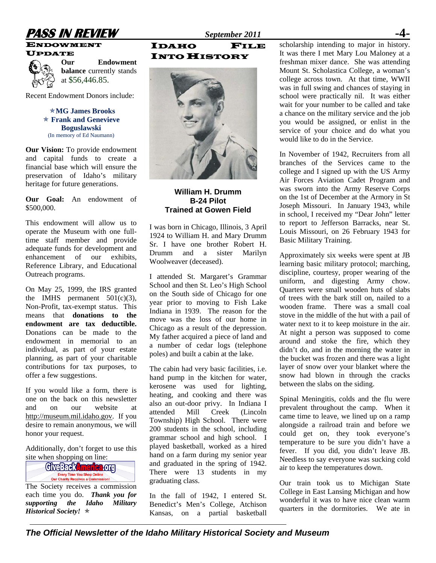# **PASS IN REVIEW** *September 2011* **-4-**

ENDOWMENT



**Our Endowment balance** currently stands at \$56,446.85.

Recent Endowment Donors include:

Õ**MG James Brooks**  Õ **Frank and Genevieve Boguslawski**  (In memory of Ed Naumann)

**Our Vision:** To provide endowment and capital funds to create a financial base which will ensure the preservation of Idaho's military heritage for future generations.

**Our Goal:** An endowment of \$500,000.

This endowment will allow us to operate the Museum with one fulltime staff member and provide adequate funds for development and enhancement of our exhibits, Reference Library, and Educational Outreach programs.

On May 25, 1999, the IRS granted the IMHS permanent  $501(c)(3)$ , Non-Profit, tax-exempt status. This means that **donations to the endowment are tax deductible.** Donations can be made to the endowment in memorial to an individual, as part of your estate planning, as part of your charitable contributions for tax purposes, to offer a few suggestions.

If you would like a form, there is one on the back on this newsletter and on our website at [http://museum.mil.idaho.gov.](http://museum.mil.idaho.gov/) If you desire to remain anonymous, we will honor your request.

Additionally, don't forget to use this



The Society receives a commission each time you do. *Thank you for supporting the Idaho Military Historical Society!*  $\star$ 

IDAHO FILE INTO HISTORY



### **William H. Drumm B-24 Pilot Trained at Gowen Field**

I was born in Chicago, Illinois, 3 April 1924 to William H. and Mary Drumm Sr. I have one brother Robert H. Drumm and a sister Marilyn Woolweaver (deceased).

I attended St. Margaret's Grammar School and then St. Leo's High School on the South side of Chicago for one year prior to moving to Fish Lake Indiana in 1939. The reason for the move was the loss of our home in Chicago as a result of the depression. My father acquired a piece of land and a number of cedar logs (telephone poles) and built a cabin at the lake.

The cabin had very basic facilities, i.e. hand pump in the kitchen for water, kerosene was used for lighting, heating, and cooking and there was also an out-door privy. In Indiana I attended Mill Creek (Lincoln Township) High School. There were 200 students in the school, including grammar school and high school. I played basketball, worked as a hired hand on a farm during my senior year and graduated in the spring of 1942. There were 13 students in my graduating class.

In the fall of 1942, I entered St. Benedict's Men's College, Atchison Kansas, on a partial basketball

scholarship intending to major in history. It was there I met Mary Lou Maloney at a freshman mixer dance. She was attending Mount St. Scholastica College, a woman's college across town. At that time, WWII was in full swing and chances of staying in school were practically nil. It was either wait for your number to be called and take a chance on the military service and the job you would be assigned, or enlist in the service of your choice and do what you would like to do in the Service.

In November of 1942, Recruiters from all branches of the Services came to the college and I signed up with the US Army Air Forces Aviation Cadet Program and was sworn into the Army Reserve Corps on the 1st of December at the Armory in St Joseph Missouri. In January 1943, while in school, I received my "Dear John" letter to report to Jefferson Barracks, near St. Louis Missouri, on 26 February 1943 for Basic Military Training.

Approximately six weeks were spent at JB learning basic military protocol; marching, discipline, courtesy, proper wearing of the uniform, and digesting Army chow. Quarters were small wooden huts of slabs of trees with the bark still on, nailed to a wooden frame. There was a small coal stove in the middle of the hut with a pail of water next to it to keep moisture in the air. At night a person was supposed to come around and stoke the fire, which they didn't do, and in the morning the water in the bucket was frozen and there was a light layer of snow over your blanket where the snow had blown in through the cracks between the slabs on the siding.

Spinal Meningitis, colds and the flu were prevalent throughout the camp. When it came time to leave, we lined up on a ramp alongside a railroad train and before we could get on, they took everyone's temperature to be sure you didn't have a fever. If you did, you didn't leave JB. Needless to say everyone was sucking cold air to keep the temperatures down.

Our train took us to Michigan State College in East Lansing Michigan and how wonderful it was to have nice clean warm quarters in the dormitories. We ate in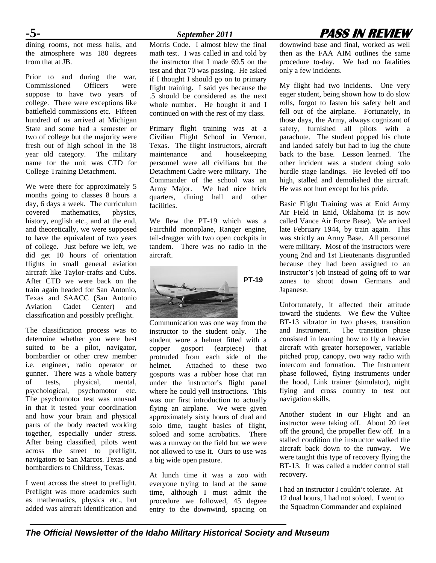# **-5-** *September 2011* **PASS IN REVIEW**

dining rooms, not mess halls, and the atmosphere was 180 degrees from that at JB.

Prior to and during the war, Commissioned Officers were suppose to have two years of college. There were exceptions like battlefield commissions etc. Fifteen hundred of us arrived at Michigan State and some had a semester or two of college but the majority were fresh out of high school in the 18 year old category. The military name for the unit was CTD for College Training Detachment.

We were there for approximately 5 months going to classes 8 hours a day, 6 days a week. The curriculum covered mathematics, physics, history, english etc., and at the end, and theoretically, we were supposed to have the equivalent of two years of college. Just before we left, we did get 10 hours of orientation flights in small general aviation aircraft like Taylor-crafts and Cubs. After CTD we were back on the train again headed for San Antonio, Texas and SAACC (San Antonio Aviation Cadet Center) and classification and possibly preflight.

The classification process was to determine whether you were best suited to be a pilot, navigator, bombardier or other crew member i.e. engineer, radio operator or gunner. There was a whole battery of tests, physical, mental, psychological, psychomotor etc. The psychomotor test was unusual in that it tested your coordination and how your brain and physical parts of the body reacted working together, especially under stress. After being classified, pilots went across the street to preflight, navigators to San Marcos, Texas and bombardiers to Childress, Texas.

I went across the street to preflight. Preflight was more academics such as mathematics, physics etc., but added was aircraft identification and Morris Code. I almost blew the final math test. I was called in and told by the instructor that I made 69.5 on the test and that 70 was passing. He asked if I thought I should go on to primary flight training. I said yes because the .5 should be considered as the next whole number. He bought it and I continued on with the rest of my class.

Primary flight training was at a Civilian Flight School in Vernon, Texas. The flight instructors, aircraft maintenance and housekeeping personnel were all civilians but the Detachment Cadre were military. The Commander of the school was an Army Major. We had nice brick quarters, dining hall and other facilities.

We flew the PT-19 which was a Fairchild monoplane, Ranger engine, tail-dragger with two open cockpits in tandem. There was no radio in the aircraft.



Communication was one way from the instructor to the student only. The student wore a helmet fitted with a copper gosport (earpiece) that protruded from each side of the helmet. Attached to these two gosports was a rubber hose that ran under the instructor's flight panel where he could yell instructions. This was our first introduction to actually flying an airplane. We were given approximately sixty hours of dual and solo time, taught basics of flight, soloed and some acrobatics. There was a runway on the field but we were not allowed to use it. Ours to use was a big wide open pasture.

At lunch time it was a zoo with everyone trying to land at the same time, although I must admit the procedure we followed, 45 degree entry to the downwind, spacing on

downwind base and final, worked as well then as the FAA AIM outlines the same procedure to-day. We had no fatalities only a few incidents.

My flight had two incidents. One very eager student, being shown how to do slow rolls, forgot to fasten his safety belt and fell out of the airplane. Fortunately, in those days, the Army, always cognizant of safety, furnished all pilots with a parachute. The student popped his chute and landed safely but had to lug the chute back to the base. Lesson learned. The other incident was a student doing solo hurdle stage landings. He leveled off too high, stalled and demolished the aircraft. He was not hurt except for his pride.

Basic Flight Training was at Enid Army Air Field in Enid, Oklahoma (it is now called Vance Air Force Base). We arrived late February 1944, by train again. This was strictly an Army Base. All personnel were military. Most of the instructors were young 2nd and 1st Lieutenants disgruntled because they had been assigned to an instructor's job instead of going off to war zones to shoot down Germans and Japanese.

Unfortunately, it affected their attitude toward the students. We flew the Vultee BT-13 vibrator in two phases, transition The transition phase consisted in learning how to fly a heavier aircraft with greater horsepower, variable pitched prop, canopy, two way radio with intercom and formation. The Instrument phase followed, flying instruments under the hood, Link trainer (simulator), night flying and cross country to test out navigation skills.

Another student in our Flight and an instructor were taking off. About 20 feet off the ground, the propeller flew off. In a stalled condition the instructor walked the aircraft back down to the runway. We were taught this type of recovery flying the BT-13. It was called a rudder control stall recovery.

I had an instructor I couldn't tolerate. At 12 dual hours, I had not soloed. I went to the Squadron Commander and explained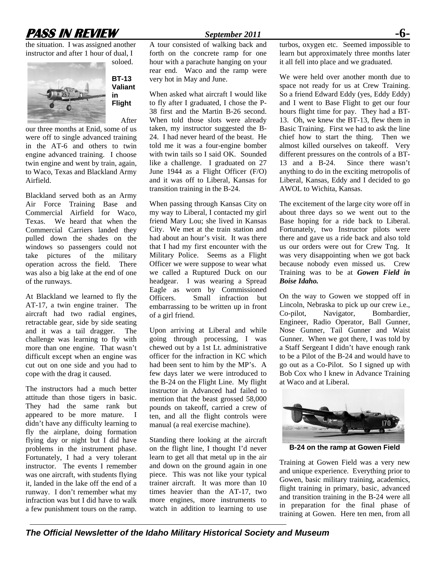# **PASS IN REVIEW September 2011**

the situation. I was assigned another instructor and after 1 hour of dual, I



**BT-13 Valiant in Flight**  After

our three months at Enid, some of us were off to single advanced training in the AT-6 and others to twin engine advanced training. I choose twin engine and went by train, again, to Waco, Texas and Blackland Army Airfield.

Blackland served both as an Army Air Force Training Base and Commercial Airfield for Waco, Texas. We heard that when the Commercial Carriers landed they pulled down the shades on the windows so passengers could not take pictures of the military operation across the field. There was also a big lake at the end of one of the runways.

At Blackland we learned to fly the AT-17, a twin engine trainer. The aircraft had two radial engines, retractable gear, side by side seating and it was a tail dragger. The challenge was learning to fly with more than one engine. That wasn't difficult except when an engine was cut out on one side and you had to cope with the drag it caused.

The instructors had a much better attitude than those tigers in basic. They had the same rank but appeared to be more mature. I didn't have any difficulty learning to fly the airplane, doing formation flying day or night but I did have problems in the instrument phase. Fortunately, I had a very tolerant instructor. The events I remember was one aircraft, with students flying it, landed in the lake off the end of a runway. I don't remember what my infraction was but I did have to walk a few punishment tours on the ramp.

A tour consisted of walking back and forth on the concrete ramp for one hour with a parachute hanging on your rear end. Waco and the ramp were

very hot in May and June.

When asked what aircraft I would like to fly after I graduated, I chose the P-38 first and the Martin B-26 second. When told those slots were already taken, my instructor suggested the B-24. I had never heard of the beast. He told me it was a four-engine bomber with twin tails so I said OK. Sounded like a challenge. I graduated on 27 June 1944 as a Flight Officer (F/O) and it was off to Liberal, Kansas for transition training in the B-24.

When passing through Kansas City on my way to Liberal, I contacted my girl friend Mary Lou; she lived in Kansas City. We met at the train station and had about an hour's visit. It was there that I had my first encounter with the Military Police. Seems as a Flight Officer we were suppose to wear what we called a Ruptured Duck on our headgear. I was wearing a Spread Eagle as worn by Commissioned Officers. Small infraction but embarrassing to be written up in front of a girl friend.

Upon arriving at Liberal and while going through processing, I was chewed out by a 1st Lt. administrative officer for the infraction in KC which had been sent to him by the MP's. A few days later we were introduced to the B-24 on the Flight Line. My flight instructor in Advanced had failed to mention that the beast grossed 58,000 pounds on takeoff, carried a crew of ten, and all the flight controls were manual (a real exercise machine).

Standing there looking at the aircraft on the flight line, I thought I'd never learn to get all that metal up in the air and down on the ground again in one piece. This was not like your typical trainer aircraft. It was more than 10 times heavier than the AT-17, two more engines, more instruments to watch in addition to learning to use

turbos, oxygen etc. Seemed impossible to learn but approximately three months later it all fell into place and we graduated.

We were held over another month due to space not ready for us at Crew Training. So a friend Edward Eddy (yes, Eddy Eddy) and I went to Base Flight to get our four hours flight time for pay. They had a BT-13. Oh, we knew the BT-13, flew them in Basic Training. First we had to ask the line chief how to start the thing. Then we almost killed ourselves on takeoff. Very different pressures on the controls of a BT-13 and a B-24. Since there wasn't anything to do in the exciting metropolis of Liberal, Kansas, Eddy and I decided to go AWOL to Wichita, Kansas.

The excitement of the large city wore off in about three days so we went out to the Base hoping for a ride back to Liberal. Fortunately, two Instructor pilots were there and gave us a ride back and also told us our orders were out for Crew Tng. It was very disappointing when we got back because nobody even missed us. Crew Training was to be at *Gowen Field in Boise Idaho.* 

On the way to Gowen we stopped off in Lincoln, Nebraska to pick up our crew i.e., Co-pilot, Navigator, Bombardier, Engineer, Radio Operator, Ball Gunner, Nose Gunner, Tail Gunner and Waist Gunner. When we got there, I was told by a Staff Sergeant I didn't have enough rank to be a Pilot of the B-24 and would have to go out as a Co-Pilot. So I signed up with Bob Cox who I knew in Advance Training at Waco and at Liberal.



**B-24 on the ramp at Gowen Field** 

Training at Gowen Field was a very new and unique experience. Everything prior to Gowen, basic military training, academics, flight training in primary, basic, advanced and transition training in the B-24 were all in preparation for the final phase of training at Gowen. Here ten men, from all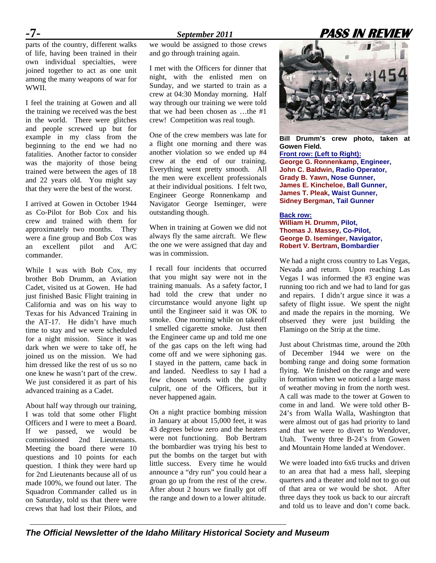parts of the country, different walks of life, having been trained in their own individual specialties, were joined together to act as one unit among the many weapons of war for WWII.

I feel the training at Gowen and all the training we received was the best in the world. There were glitches and people screwed up but for example in my class from the beginning to the end we had no fatalities. Another factor to consider was the majority of those being trained were between the ages of 18 and 22 years old. You might say that they were the best of the worst.

I arrived at Gowen in October 1944 as Co-Pilot for Bob Cox and his crew and trained with them for approximately two months. They were a fine group and Bob Cox was an excellent pilot and A/C commander.

While I was with Bob Cox, my brother Bob Drumm, an Aviation Cadet, visited us at Gowen. He had just finished Basic Flight training in California and was on his way to Texas for his Advanced Training in the AT-17. He didn't have much time to stay and we were scheduled for a night mission. Since it was dark when we were to take off, he joined us on the mission. We had him dressed like the rest of us so no one knew he wasn't part of the crew. We just considered it as part of his advanced training as a Cadet.

About half way through our training, I was told that some other Flight Officers and I were to meet a Board. If we passed, we would be commissioned 2nd Lieutenants. Meeting the board there were 10 questions and 10 points for each question. I think they were hard up for 2nd Lieutenants because all of us made 100%, we found out later. The Squadron Commander called us in on Saturday, told us that there were crews that had lost their Pilots, and we would be assigned to those crews and go through training again.

I met with the Officers for dinner that night, with the enlisted men on Sunday, and we started to train as a crew at 04:30 Monday morning. Half way through our training we were told that we had been chosen as …the #1 crew! Competition was real tough.

One of the crew members was late for a flight one morning and there was another violation so we ended up #4 crew at the end of our training. Everything went pretty smooth. All the men were excellent professionals at their individual positions. I felt two, Engineer George Ronnenkamp and Navigator George Iseminger, were outstanding though.

When in training at Gowen we did not always fly the same aircraft. We flew the one we were assigned that day and was in commission.

I recall four incidents that occurred that you might say were not in the training manuals. As a safety factor, I had told the crew that under no circumstance would anyone light up until the Engineer said it was OK to smoke. One morning while on takeoff I smelled cigarette smoke. Just then the Engineer came up and told me one of the gas caps on the left wing had come off and we were siphoning gas. I stayed in the pattern, came back in and landed. Needless to say I had a few chosen words with the guilty culprit, one of the Officers, but it never happened again.

On a night practice bombing mission in January at about 15,000 feet, it was 43 degrees below zero and the heaters were not functioning. Bob Bertram the bombardier was trying his best to put the bombs on the target but with little success. Every time he would announce a "dry run" you could hear a groan go up from the rest of the crew. After about 2 hours we finally got off the range and down to a lower altitude.



**Bill Drumm's crew photo, taken at Gowen Field. Front row: (Left to Right): George G. Ronnenkamp, Engineer, John C. Baldwin, Radio Operator, Grady B. Yawn, Nose Gunner, James E. Kincheloe, Ball Gunner, James T. Pleak, Waist Gunner, Sidney Bergman, Tail Gunner** 

**Back row: William H. Drumm, Pilot, Thomas J. Massey, Co-Pilot, George D. Iseminger, Navigator, Robert V. Bertram, Bombardier** 

We had a night cross country to Las Vegas, Nevada and return. Upon reaching Las Vegas I was informed the #3 engine was running too rich and we had to land for gas and repairs. I didn't argue since it was a safety of flight issue. We spent the night and made the repairs in the morning. We observed they were just building the Flamingo on the Strip at the time.

Just about Christmas time, around the 20th of December 1944 we were on the bombing range and doing some formation flying. We finished on the range and were in formation when we noticed a large mass of weather moving in from the north west. A call was made to the tower at Gowen to come in and land. We were told other B-24's from Walla Walla, Washington that were almost out of gas had priority to land and that we were to divert to Wendover, Utah. Twenty three B-24's from Gowen and Mountain Home landed at Wendover.

We were loaded into 6x6 trucks and driven to an area that had a mess hall, sleeping quarters and a theater and told not to go out of that area or we would be shot. After three days they took us back to our aircraft and told us to leave and don't come back.

# **-7-** *September 2011* **PASS IN REVIEW**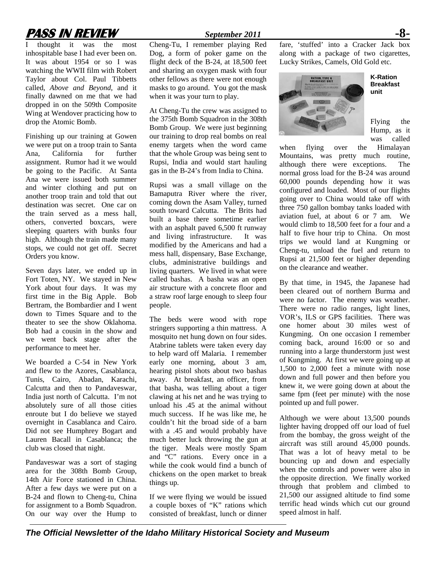# **PASS IN REVIEW** *September 2011* **-8-**

I thought it was the most inhospitable base I had ever been on. It was about 1954 or so I was watching the WWII film with Robert Taylor about Col. Paul Tibbetts called, *Above and Beyond*, and it finally dawned on me that we had dropped in on the 509th Composite Wing at Wendover practicing how to drop the Atomic Bomb.

Finishing up our training at Gowen we were put on a troop train to Santa<br>Ana California for further Ana, California assignment. Rumor had it we would be going to the Pacific. At Santa Ana we were issued both summer and winter clothing and put on another troop train and told that out destination was secret. One car on the train served as a mess hall, others, converted boxcars, were sleeping quarters with bunks four high. Although the train made many stops, we could not get off. Secret Orders you know.

Seven days later, we ended up in Fort Toten, NY. We stayed in New York about four days. It was my first time in the Big Apple. Bob Bertram, the Bombardier and I went down to Times Square and to the theater to see the show Oklahoma. Bob had a cousin in the show and we went back stage after the performance to meet her.

We boarded a C-54 in New York and flew to the Azores, Casablanca, Tunis, Cairo, Abadan, Karachi, Calcutta and then to Pandaveswar, India just north of Calcutta. I'm not absolutely sure of all those cities enroute but I do believe we stayed overnight in Casablanca and Cairo. Did not see Humphrey Bogart and Lauren Bacall in Casablanca; the club was closed that night.

Pandaveswar was a sort of staging area for the 308th Bomb Group, 14th Air Force stationed in China. After a few days we were put on a B-24 and flown to Cheng-tu, China for assignment to a Bomb Squadron. On our way over the Hump to

Cheng-Tu, I remember playing Red Dog, a form of poker game on the flight deck of the B-24, at 18,500 feet and sharing an oxygen mask with four other fellows as there were not enough masks to go around. You got the mask when it was your turn to play.

At Cheng-Tu the crew was assigned to the 375th Bomb Squadron in the 308th Bomb Group. We were just beginning our training to drop real bombs on real enemy targets when the word came that the whole Group was being sent to Rupsi, India and would start hauling gas in the B-24's from India to China.

Rupsi was a small village on the Bamaputra River where the river, coming down the Asam Valley, turned south toward Calcutta. The Brits had built a base there sometime earlier with an asphalt paved 6,500 ft runway and living infrastructure. It was modified by the Americans and had a mess hall, dispensary, Base Exchange, clubs, administrative buildings and living quarters. We lived in what were called bashas. A basha was an open air structure with a concrete floor and a straw roof large enough to sleep four people.

The beds were wood with rope stringers supporting a thin mattress. A mosquito net hung down on four sides. Atabrine tablets were taken every day to help ward off Malaria. I remember early one morning, about 3 am, hearing pistol shots about two bashas away. At breakfast, an officer, from that basha, was telling about a tiger clawing at his net and he was trying to unload his .45 at the animal without much success. If he was like me, he couldn't hit the broad side of a barn with a .45 and would probably have much better luck throwing the gun at the tiger. Meals were mostly Spam and "C" rations. Every once in a while the cook would find a bunch of chickens on the open market to break things up.

If we were flying we would be issued a couple boxes of "K" rations which consisted of breakfast, lunch or dinner

fare, 'stuffed' into a Cracker Jack box along with a package of two cigarettes, Lucky Strikes, Camels, Old Gold etc.



**K-Ration Breakfast unit** 

Flying the Hump, as it was called

when flying over the Himalayan Mountains, was pretty much routine, although there were exceptions. The normal gross load for the B-24 was around 60,000 pounds depending how it was configured and loaded. Most of our flights going over to China would take off with three 750 gallon bombay tanks loaded with aviation fuel, at about 6 or 7 am. We would climb to 18,500 feet for a four and a half to five hour trip to China. On most trips we would land at Kungming or Cheng-tu, unload the fuel and return to Rupsi at 21,500 feet or higher depending on the clearance and weather.

By that time, in 1945, the Japanese had been cleared out of northern Burma and were no factor. The enemy was weather. There were no radio ranges, light lines, VOR's, ILS or GPS facilities. There was one homer about 30 miles west of Kungming. On one occasion I remember coming back, around 16:00 or so and running into a large thunderstorm just west of Kungming. At first we were going up at 1,500 to 2,000 feet a minute with nose down and full power and then before you knew it, we were going down at about the same fpm (feet per minute) with the nose pointed up and full power.

Although we were about 13,500 pounds lighter having dropped off our load of fuel from the bombay, the gross weight of the aircraft was still around 45,000 pounds. That was a lot of heavy metal to be bouncing up and down and especially when the controls and power were also in the opposite direction. We finally worked through that problem and climbed to 21,500 our assigned altitude to find some terrific head winds which cut our ground speed almost in half.

*The Official Newsletter of the Idaho Military Historical Society and Museum*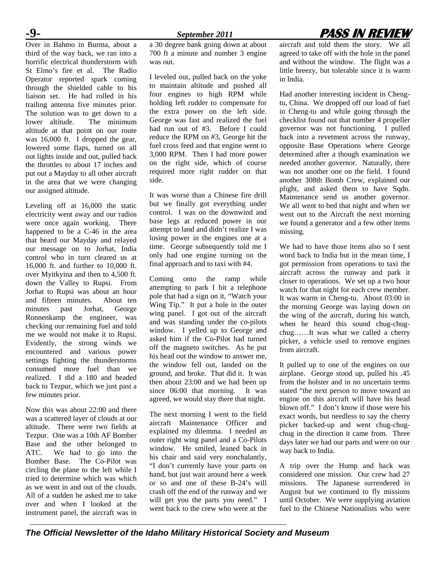# **-9-** *September 2011* **PASS IN REVIEW**

Over in Bahmo in Burma, about a third of the way back, we ran into a horrific electrical thunderstorm with St Elmo's fire et al. The Radio Operator reported spark coming through the shielded cable to his liaison set. He had rolled in his trailing antenna five minutes prior. The solution was to get down to a<br>lower altitude. The minimum The minimum altitude at that point on our route was 16,000 ft. I dropped the gear, lowered some flaps, turned on all out lights inside and out, pulled back the throttles to about 17 inches and put out a Mayday to all other aircraft in the area that we were changing our assigned altitude.

Leveling off at 16,000 the static electricity went away and our radios were once again working. There happened to be a C-46 in the area that heard our Mayday and relayed our message on to Jorhat, India control who in turn cleared us at 16,000 ft. and further to 10,000 ft. over Myitkyina and then to 4,500 ft. down the Valley to Rupsi. From Jorhat to Rupsi was about an hour and fifteen minutes. About ten minutes past Jorhat, George Ronnenkamp the engineer, was checking our remaining fuel and told me we would not make it to Rupsi. Evidently, the strong winds we encountered and various power settings fighting the thunderstorms consumed more fuel than we realized. I did a 180 and headed back to Tezpur, which we just past a few minutes prior.

Now this was about 22:00 and there was a scattered layer of clouds at our altitude. There were two fields at Tezpur. One was a 10th AF Bomber Base and the other belonged to ATC. We had to go into the Bomber Base. The Co-Pilot was circling the plane to the left while I tried to determine which was which as we went in and out of the clouds. All of a sudden he asked me to take over and when I looked at the instrument panel, the aircraft was in a 30 degree bank going down at about 700 ft a minute and number 3 engine was out.

I leveled out, pulled back on the yoke to maintain altitude and pushed all four engines to high RPM while holding left rudder to compensate for the extra power on the left side. George was fast and realized the fuel had run out of #3. Before I could reduce the RPM on #3, George hit the fuel cross feed and that engine went to 3,000 RPM. Then I had more power on the right side, which of course required more right rudder on that side.

It was worse than a Chinese fire drill but we finally got everything under control. I was on the downwind and base legs at reduced power in our attempt to land and didn't realize I was losing power in the engines one at a time. George subsequently told me I only had one engine turning on the final approach and to taxi with #4.

Coming onto the ramp while attempting to park I hit a telephone pole that had a sign on it, "Watch your Wing Tip." It put a hole in the outer wing panel. I got out of the aircraft and was standing under the co-pilots window. I yelled up to George and asked him if the Co-Pilot had turned off the magneto switches. As he put his head out the window to answer me, the window fell out, landed on the ground, and broke. That did it. It was then about 23:00 and we had been up since 06:00 that morning. It was agreed, we would stay there that night.

The next morning I went to the field aircraft Maintenance Officer and explained my dilemma. I needed an outer right wing panel and a Co-Pilots window. He smiled, leaned back in his chair and said very nonchalantly, "I don't currently have your parts on hand, but just wait around here a week or so and one of these B-24's will crash off the end of the runway and we will get you the parts you need." I went back to the crew who were at the

aircraft and told them the story. We all agreed to take off with the hole in the panel and without the window. The flight was a little breezy, but tolerable since it is warm in India.

Had another interesting incident in Chengtu, China. We dropped off our load of fuel in Cheng-tu and while going through the checklist found out that number 4 propeller governor was not functioning. I pulled back into a revetment across the runway, opposite Base Operations where George determined after a though examination we needed another governor. Naturally, there was not another one on the field. I found another 308th Bomb Crew, explained our plight, and asked them to have Sqdn. Maintenance send us another governor. We all went to bed that night and when we went out to the Aircraft the next morning we found a generator and a few other items missing.

We had to have those items also so I sent word back to India but in the mean time, I got permission from operations to taxi the aircraft across the runway and park it closer to operations. We set up a two hour watch for that night for each crew member. It was warm in Cheng-tu. About 03:00 in the morning George was laying down on the wing of the aircraft, during his watch, when he heard this sound chug-chugchug……It was what we called a cherry picker, a vehicle used to remove engines from aircraft.

It pulled up to one of the engines on our airplane. George stood up, pulled his .45 from the holster and in no uncertain terms stated "the next person to move toward an engine on this aircraft will have his head blown off." I don't know if those were his exact words, but needless to say the cherry picker backed-up and went chug-chugchug in the direction it came from. Three days later we had our parts and were on our way back to India.

A trip over the Hump and back was considered one mission. Our crew had 27 missions. The Japanese surrendered in August but we continued to fly missions until October. We were supplying aviation fuel to the Chinese Nationalists who were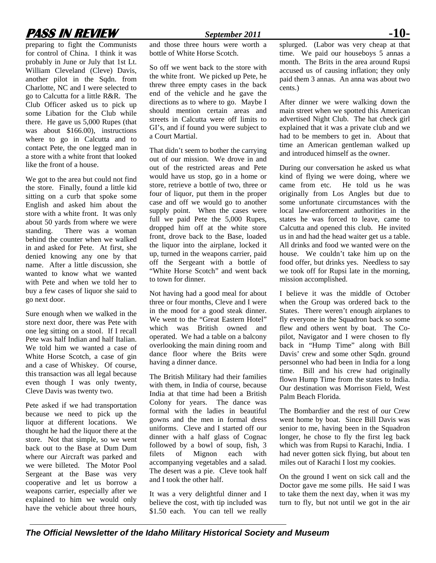# **PASS IN REVIEW** *September 2011* **-10-**

preparing to fight the Communists for control of China. I think it was probably in June or July that 1st Lt. William Cleveland (Cleve) Davis, another pilot in the Sqdn. from Charlotte, NC and I were selected to go to Calcutta for a little R&R. The Club Officer asked us to pick up some Libation for the Club while there. He gave us 5,000 Rupes (that was about \$166.00), instructions where to go in Calcutta and to contact Pete, the one legged man in a store with a white front that looked like the front of a house.

We got to the area but could not find the store. Finally, found a little kid sitting on a curb that spoke some English and asked him about the store with a white front. It was only about 50 yards from where we were<br>standing. There was a woman There was a woman behind the counter when we walked in and asked for Pete. At first, she denied knowing any one by that name. After a little discussion, she wanted to know what we wanted with Pete and when we told her to buy a few cases of liquor she said to go next door.

Sure enough when we walked in the store next door, there was Pete with one leg sitting on a stool. If I recall Pete was half Indian and half Italian. We told him we wanted a case of White Horse Scotch, a case of gin and a case of Whiskey. Of course, this transaction was all legal because even though I was only twenty, Cleve Davis was twenty two.

Pete asked if we had transportation because we need to pick up the liquor at different locations. We thought he had the liquor there at the store. Not that simple, so we went back out to the Base at Dum Dum where our Aircraft was parked and we were billeted. The Motor Pool Sergeant at the Base was very cooperative and let us borrow a weapons carrier, especially after we explained to him we would only have the vehicle about three hours,

and those three hours were worth a bottle of White Horse Scotch.

So off we went back to the store with the white front. We picked up Pete, he threw three empty cases in the back end of the vehicle and he gave the directions as to where to go. Maybe I should mention certain areas and streets in Calcutta were off limits to GI's, and if found you were subject to a Court Martial.

That didn't seem to bother the carrying out of our mission. We drove in and out of the restricted areas and Pete would have us stop, go in a home or store, retrieve a bottle of two, three or four of liquor, put them in the proper case and off we would go to another supply point. When the cases were full we paid Pete the 5,000 Rupes, dropped him off at the white store front, drove back to the Base, loaded the liquor into the airplane, locked it up, turned in the weapons carrier, paid off the Sergeant with a bottle of "White Horse Scotch" and went back to town for dinner.

Not having had a good meal for about three or four months, Cleve and I were in the mood for a good steak dinner. We went to the "Great Eastern Hotel" which was British owned and operated. We had a table on a balcony overlooking the main dining room and dance floor where the Brits were having a dinner dance.

The British Military had their families with them, in India of course, because India at that time had been a British Colony for years. The dance was formal with the ladies in beautiful gowns and the men in formal dress uniforms. Cleve and I started off our dinner with a half glass of Cognac followed by a bowl of soup, fish, 3 filets of Mignon each with accompanying vegetables and a salad. The desert was a pie. Cleve took half and I took the other half.

It was a very delightful dinner and I believe the cost, with tip included was \$1.50 each. You can tell we really

splurged. (Labor was very cheap at that time. We paid our houseboys 5 annas a month. The Brits in the area around Rupsi accused us of causing inflation; they only paid them 3 annas. An anna was about two cents.)

After dinner we were walking down the main street when we spotted this American advertised Night Club. The hat check girl explained that it was a private club and we had to be members to get in. About that time an American gentleman walked up and introduced himself as the owner.

During our conversation he asked us what kind of flying we were doing, where we came from etc. He told us he was originally from Los Angles but due to some unfortunate circumstances with the local law-enforcement authorities in the states he was forced to leave, came to Calcutta and opened this club. He invited us in and had the head waiter get us a table. All drinks and food we wanted were on the house. We couldn't take him up on the food offer, but drinks yes. Needless to say we took off for Rupsi late in the morning, mission accomplished.

I believe it was the middle of October when the Group was ordered back to the States. There weren't enough airplanes to fly everyone in the Squadron back so some flew and others went by boat. The Copilot, Navigator and I were chosen to fly back in "Hump Time" along with Bill Davis' crew and some other Sqdn. ground personnel who had been in India for a long time. Bill and his crew had originally flown Hump Time from the states to India. Our destination was Morrison Field, West Palm Beach Florida.

The Bombardier and the rest of our Crew went home by boat. Since Bill Davis was senior to me, having been in the Squadron longer, he chose to fly the first leg back which was from Rupsi to Karachi, India. I had never gotten sick flying, but about ten miles out of Karachi I lost my cookies.

On the ground I went on sick call and the Doctor gave me some pills. He said I was to take them the next day, when it was my turn to fly, but not until we got in the air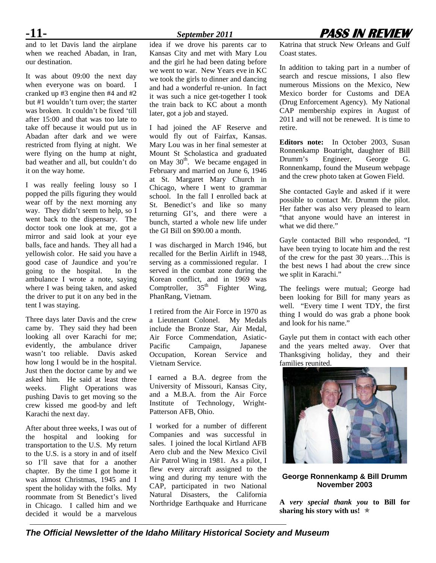and to let Davis land the airplane when we reached Abadan, in Iran, our destination.

It was about 09:00 the next day when everyone was on board. I cranked up #3 engine then #4 and #2 but #1 wouldn't turn over; the starter was broken. It couldn't be fixed 'till after 15:00 and that was too late to take off because it would put us in Abadan after dark and we were restricted from flying at night. We were flying on the hump at night, bad weather and all, but couldn't do it on the way home.

I was really feeling lousy so I popped the pills figuring they would wear off by the next morning any way. They didn't seem to help, so I went back to the dispensary. The doctor took one look at me, got a mirror and said look at your eye balls, face and hands. They all had a yellowish color. He said you have a good case of Jaundice and you're going to the hospital. In the ambulance I wrote a note, saying where I was being taken, and asked the driver to put it on any bed in the tent I was staying.

Three days later Davis and the crew came by. They said they had been looking all over Karachi for me; evidently, the ambulance driver wasn't too reliable. Davis asked how long I would be in the hospital. Just then the doctor came by and we asked him. He said at least three weeks. Flight Operations was pushing Davis to get moving so the crew kissed me good-by and left Karachi the next day.

After about three weeks, I was out of the hospital and looking for transportation to the U.S. My return to the U.S. is a story in and of itself so I'll save that for a another chapter. By the time I got home it was almost Christmas, 1945 and I spent the holiday with the folks. My roommate from St Benedict's lived in Chicago. I called him and we decided it would be a marvelous

idea if we drove his parents car to Kansas City and met with Mary Lou and the girl he had been dating before we went to war. New Years eve in KC we took the girls to dinner and dancing and had a wonderful re-union. In fact it was such a nice get-together I took the train back to KC about a month later, got a job and stayed.

I had joined the AF Reserve and would fly out of Fairfax, Kansas. Mary Lou was in her final semester at Mount St Scholastica and graduated on May  $30<sup>th</sup>$ . We became engaged in February and married on June 6, 1946 at St. Margaret Mary Church in Chicago, where I went to grammar school. In the fall I enrolled back at St. Benedict's and like so many returning GI's, and there were a bunch, started a whole new life under the GI Bill on \$90.00 a month.

I was discharged in March 1946, but recalled for the Berlin Airlift in 1948, serving as a commissioned regular. I served in the combat zone during the Korean conflict, and in 1969 was Comptroller,  $35<sup>th</sup>$  Fighter Wing, PhanRang, Vietnam.

I retired from the Air Force in 1970 as a Lieutenant Colonel. My Medals include the Bronze Star, Air Medal, Air Force Commendation, Asiatic-Pacific Campaign, Japanese Occupation, Korean Service and Vietnam Service.

I earned a B.A. degree from the University of Missouri, Kansas City, and a M.B.A. from the Air Force Institute of Technology, Wright-Patterson AFB, Ohio.

I worked for a number of different Companies and was successful in sales. I joined the local Kirtland AFB Aero club and the New Mexico Civil Air Patrol Wing in 1981. As a pilot, I flew every aircraft assigned to the wing and during my tenure with the CAP, participated in two National Natural Disasters, the California Northridge Earthquake and Hurricane

# **-11-** *September 2011* **PASS IN REVIEW**

Katrina that struck New Orleans and Gulf Coast states.

In addition to taking part in a number of search and rescue missions, I also flew numerous Missions on the Mexico, New Mexico border for Customs and DEA (Drug Enforcement Agency). My National CAP membership expires in August of 2011 and will not be renewed. It is time to retire.

**Editors note:** In October 2003, Susan Ronnenkamp Boatright, daughter of Bill Drumm's Engineer, George G. Ronnenkamp, found the Museum webpage and the crew photo taken at Gowen Field.

She contacted Gayle and asked if it were possible to contact Mr. Drumm the pilot. Her father was also very pleased to learn "that anyone would have an interest in what we did there."

Gayle contacted Bill who responded, "I have been trying to locate him and the rest of the crew for the past 30 years…This is the best news I had about the crew since we split in Karachi."

The feelings were mutual; George had been looking for Bill for many years as well. "Every time I went TDY, the first thing I would do was grab a phone book and look for his name."

Gayle put them in contact with each other and the years melted away. Over that Thanksgiving holiday, they and their families reunited.



#### **George Ronnenkamp & Bill Drumm November 2003**

**A** *very special thank you* **to Bill for sharing his story with us!**  $*$ 

*The Official Newsletter of the Idaho Military Historical Society and Museum*